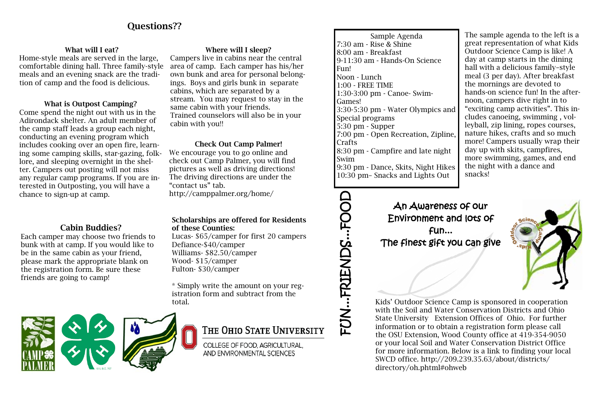Sample Agenda 7:30 am - Rise & Shine 8:00 am - Breakfast 9-11:30 am - Hands-On Science Fun! Noon - Lunch 1:00 - FREE TIME 1:30-3:00 pm - Canoe- Swim-Games! 3:30-5:30 pm - Water Olympics and Special programs 5:30 pm - Supper 7:00 pm - Open Recreation, Zipline, Crafts 8:30 pm - Campfire and late night Swim 9:30 pm - Dance, Skits, Night Hikes 10:30 pm– Snacks and Lights Out

# Where will I sleep?

Campers live in cabins near the central area of camp. Each camper has his/her own bunk and area for personal belongings. Boys and girls bunk in separate cabins, which are separated by a stream. You may request to stay in the same cabin with your friends. Trained counselors will also be in your cabin with you!!

# Questions??

## What will I eat?

Home-style meals are served in the large, comfortable dining hall. Three family-style meals and an evening snack are the tradition of camp and the food is delicious.

# FUN...FRIENDS...FOOD FUN...FRIENDS...FOOL

# What is Outpost Camping?

Come spend the night out with us in the Adirondack shelter. An adult member of the camp staff leads a group each night, conducting an evening program which includes cooking over an open fire, learning some camping skills, star-gazing, folklore, and sleeping overnight in the shelter. Campers out posting will not miss any regular camp programs. If you are interested in Outposting, you will have a chance to sign-up at camp.

# Cabin Buddies?

Each camper may choose two friends to bunk with at camp. If you would like to be in the same cabin as your friend, please mark the appropriate blank on the registration form. Be sure these friends are going to camp!

# Check Out Camp Palmer!

We encourage you to go online and check out Camp Palmer, you will find pictures as well as driving directions! The driving directions are under the "contact us" tab. http://camppalmer.org/home/

> An Awareness of our Environment and lots of fun... The finest gift you can give

Kids' Outdoor Science Camp is sponsored in cooperation with the Soil and Water Conservation Districts and Ohio State University Extension Offices of Ohio. For further information or to obtain a registration form please call the OSU Extension, Wood County office at 419-354-9050 or your local Soil and Water Conservation District Office for more information. Below is a link to finding your local SWCD office. http://209.239.35.63/about/districts/ directory/oh.phtml#ohweb

The sample agenda to the left is a great representation of what Kids Outdoor Science Camp is like! A day at camp starts in the dining hall with a delicious family–style meal (3 per day). After breakfast the mornings are devoted to hands-on science fun! In the afternoon, campers dive right in to "exciting camp activities". This includes canoeing, swimming , volleyball, zip lining, ropes courses, nature hikes, crafts and so much more! Campers usually wrap their day up with skits, campfires, more swimming, games, and end the night with a dance and snacks!



### Scholarships are offered for Residents of these Counties:

Lucas- \$65/camper for first 20 campers Defiance-\$40/camper Williams- \$82.50/camper Wood- \$15/camper Fulton- \$30/camper

\* Simply write the amount on your registration form and subtract from the total.



COLLEGE OF FOOD, AGRICULTURAL, AND ENVIRONMENTAL SCIENCES